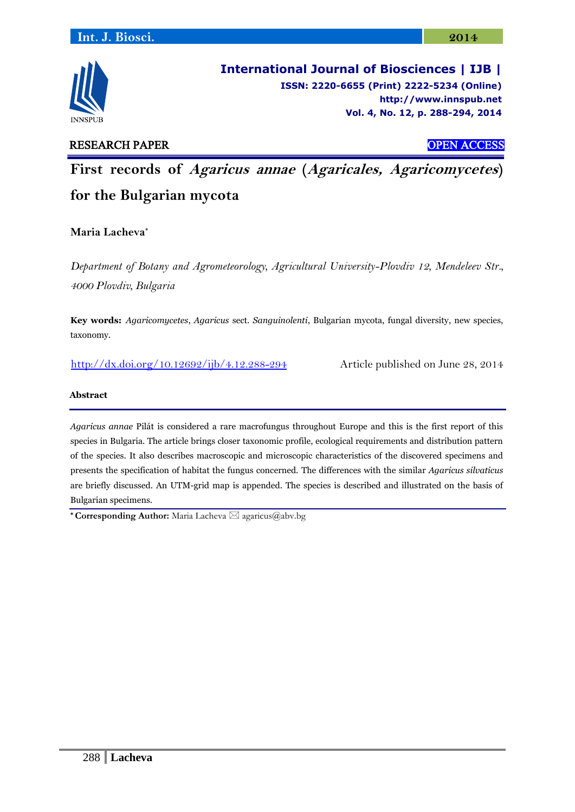

**International Journal of Biosciences | IJB | ISSN: 2220-6655 (Print) 2222-5234 (Online) [http://www.](http://www/)innspub.net Vol. 4, No. 12, p. 288-294, 2014**

# RESEARCH PAPER OPEN ACCESS

**First records of Agaricus annae (Agaricales, Agaricomycetes) for the Bulgarian mycota**

**Maria Lacheva\***

*Department of Botany and Agrometeorology, Agricultural University-Plovdiv 12, Mendeleev Str., 4000 Plovdiv, Bulgaria*

**Key words:** *Agaricomycetes*, *Agaricus* sect. *Sanguinolenti*, Bulgarian mycota, fungal diversity, new species, taxonomy.

<http://dx.doi.org/10.12692/ijb/4.12.288-294> Article published on June 28, 2014

## **Abstract**

*Agaricus annae* Pilát is considered a rare macrofungus throughout Europe and this is the first report of this species in Bulgaria. The article brings closer taxonomic profile, ecological requirements and distribution pattern of the species. It also describes macroscopic and microscopic characteristics of the discovered specimens and presents the specification of habitat the fungus concerned. The differences with the similar *Agaricus silvaticus* are briefly discussed. An UTM-grid map is appended. The species is described and illustrated on the basis of Bulgarian specimens.

\* **Corresponding Author:** Maria Lacheva  $\boxtimes$  agaricus@abv.bg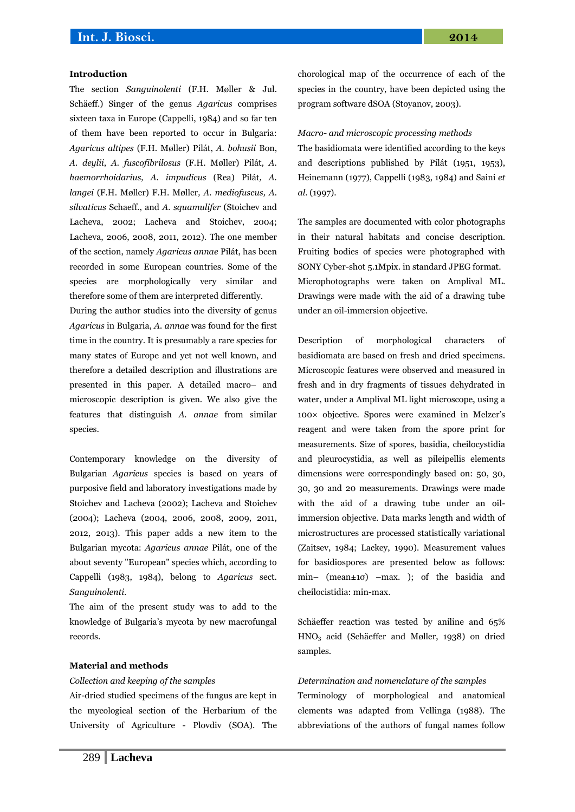#### **Introduction**

The section *Sanguinolenti* (F.H. Møller & Jul. Schäeff.) Singer of the genus *Agaricus* comprises sixteen taxa in Europe (Cappelli, 1984) and so far ten of them have been reported to occur in Bulgaria: *Agaricus altipes* (F.H. Møller) Pilát, *A. bohusii* Bon, *A. deylii*, *A. fuscofibrilosus* (F.H. Møller) Pilát*, A. haemorrhoidarius, A. impudicus* (Rea) Pilát*, A. langei* (F.H. Møller) F.H. Møller*, A. mediofuscus, A. silvaticus* Schaeff., and *A. squamulifer* (Stoichev and Lacheva, 2002; Lacheva and Stoichev, 2004; Lacheva, 2006, 2008, 2011, 2012). The one member of the section, namely *Agaricus annae* Pilát, has been recorded in some European countries. Some of the species are morphologically very similar and therefore some of them are interpreted differently.

During the author studies into the diversity of genus *Agaricus* in Bulgaria, *A. annae* was found for the first time in the country. It is presumably a rare species for many states of Europe and yet not well known, and therefore a detailed description and illustrations are presented in this paper. A detailed macro– and microscopic description is given. We also give the features that distinguish *A. annae* from similar species.

Contemporary knowledge on the diversity of Bulgarian *Agaricus* species is based on years of purposive field and laboratory investigations made by Stoichev and Lacheva (2002); Lacheva and Stoichev (2004); Lacheva (2004, 2006, 2008, 2009, 2011, 2012, 2013). This paper adds a new item to the Bulgarian mycota: *Agaricus annae* Pilát, one of the about seventy "European" species which, according to Cappelli (1983, 1984), belong to *Agaricus* sect. *Sanguinolenti*.

The aim of the present study was to add to the knowledge of Bulgaria's mycota by new macrofungal records.

### **Material and methods**

#### *Collection and keeping of the samples*

Air-dried studied specimens of the fungus are kept in the mycological section of the Herbarium of the University of Agriculture - Plovdiv (SOA). The chorological map of the occurrence of each of the species in the country, have been depicted using the program software dSOA (Stoyanov, 2003).

*Macro- and microscopic processing methods*

The basidiomata were identified according to the keys and descriptions published by Pilát (1951, 1953), Heinemann (1977), Cappelli (1983, 1984) and Saini *et al.* (1997).

The samples are documented with color photographs in their natural habitats and concise description. Fruiting bodies of species were photographed with SONY Cyber-shot 5.1Mpix. in standard JPEG format. Microphotographs were taken on Amplival ML. Drawings were made with the aid of a drawing tube under an oil-immersion objective.

Description of morphological characters of basidiomata are based on fresh and dried specimens. Microscopic features were observed and measured in fresh and in dry fragments of tissues dehydrated in water, under a Amplival ML light microscope, using a 100× objective. Spores were examined in Melzer's reagent and were taken from the spore print for measurements. Size of spores, basidia, cheilocystidia and pleurocystidia, as well as pileipellis elements dimensions were correspondingly based on: 50, 30, 30, 30 and 20 measurements. Drawings were made with the aid of a drawing tube under an oilimmersion objective. Data marks length and width of microstructures are processed statistically variational (Zaitsev, 1984; Lackey, 1990). Measurement values for basidiospores are presented below as follows: min– (mean±1σ) –max. ); of the basidia and cheilocistidia: min-max.

Schäeffer reaction was tested by aniline and 65% HNO<sup>3</sup> acid (Schäeffer and Møller, 1938) on dried samples.

#### *Determination and nomenclature of the samples*

Terminology of morphological and anatomical elements was adapted from Vellinga (1988). The abbreviations of the authors of fungal names follow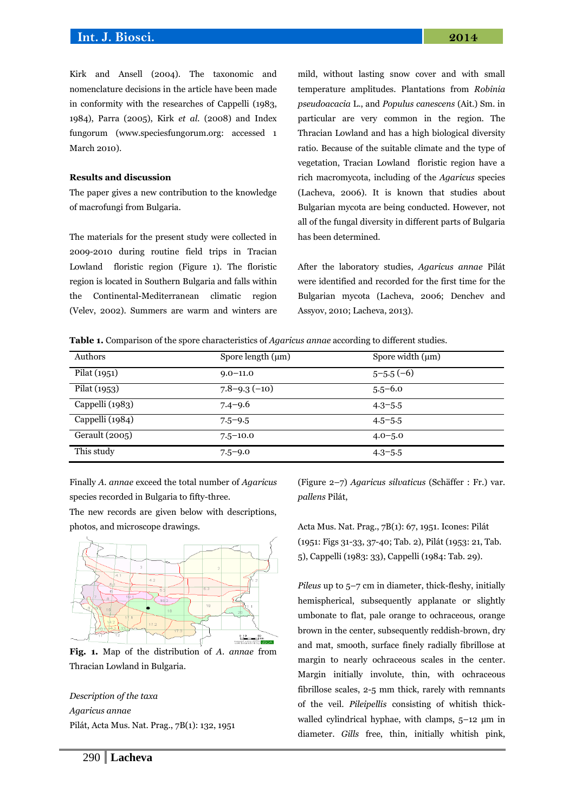Kirk and Ansell (2004). The taxonomic and nomenclature decisions in the article have been made in conformity with the researches of Cappelli (1983, 1984), Parra (2005), Kirk *et al.* (2008) and Index fungorum (www.speciesfungorum.org: accessed 1 March 2010).

## **Results and discussion**

The paper gives a new contribution to the knowledge of macrofungi from Bulgaria.

The materials for the present study were collected in 2009-2010 during routine field trips in Tracian Lowland floristic region (Figure 1). The floristic region is located in Southern Bulgaria and falls within the Continental-Mediterranean climatic region (Velev, 2002). Summers are warm and winters are mild, without lasting snow cover and with small temperature amplitudes. Plantations from *Robinia pseudoacacia* L., and *Populus canescens* (Ait.) Sm. in particular are very common in the region. The Thracian Lowland and has a high biological diversity ratio. Because of the suitable climate and the type of vegetation, Tracian Lowland floristic region have a rich macromycota, including of the *Agaricus* species (Lacheva, 2006). It is known that studies about Bulgarian mycota are being conducted. However, not all of the fungal diversity in different parts of Bulgaria has been determined.

After the laboratory studies, *Agaricus annae* Pilát were identified and recorded for the first time for the Bulgarian mycota (Lacheva, 2006; Denchev and Assyov, 2010; Lacheva, 2013).

**Table 1.** Comparison of the spore characteristics of *Agaricus annae* according to different studies.

| Authors         | Spore length $(\mu m)$ | Spore width $(\mu m)$ |
|-----------------|------------------------|-----------------------|
| Pilat (1951)    | $9.0 - 11.0$           | $5 - 5.5(-6)$         |
| Pilat (1953)    | $7.8 - 9.3(-10)$       | $5.5 - 6.0$           |
| Cappelli (1983) | $7.4 - 9.6$            | $4.3 - 5.5$           |
| Cappelli (1984) | $7.5 - 9.5$            | $4.5 - 5.5$           |
| Gerault (2005)  | $7.5 - 10.0$           | $4.0 - 5.0$           |
| This study      | $7.5 - 9.0$            | $4.3 - 5.5$           |

Finally *A. annae* exceed the total number of *Agaricus* species recorded in Bulgaria to fifty-three.

The new records are given below with descriptions, photos, and microscope drawings.



**Fig. 1.** Map of the distribution of *A. annae* from Thracian Lowland in Bulgaria.

*Description of the taxa Agaricus annae* Pilát, Acta Mus. Nat. Prag., 7B(1): 132, 1951 (Figure 2–7) *Agaricus silvaticus* (Schäffer : Fr.) var. *pallens* Pilát,

Acta Mus. Nat. Prag., 7B(1): 67, 1951. Icones: Pilát (1951: Figs 31-33, 37-40; Tab. 2), Pilát (1953: 21, Tab. 5), Cappelli (1983: 33), Cappelli (1984: Тab. 29).

*Pileus* up to 5–7 cm in diameter, thick-fleshy, initially hemispherical, subsequently applanate or slightly umbonate to flat, pale orange to ochraceous, orange brown in the center, subsequently reddish-brown, dry and mat, smooth, surface finely radially fibrillose at margin to nearly ochraceous scales in the center. Margin initially involute, thin, with ochraceous fibrillose scales, 2-5 mm thick, rarely with remnants of the veil. *Pileipellis* consisting of whitish thickwalled cylindrical hyphae, with clamps, 5–12 μm in diameter. *Gills* free, thin, initially whitish pink,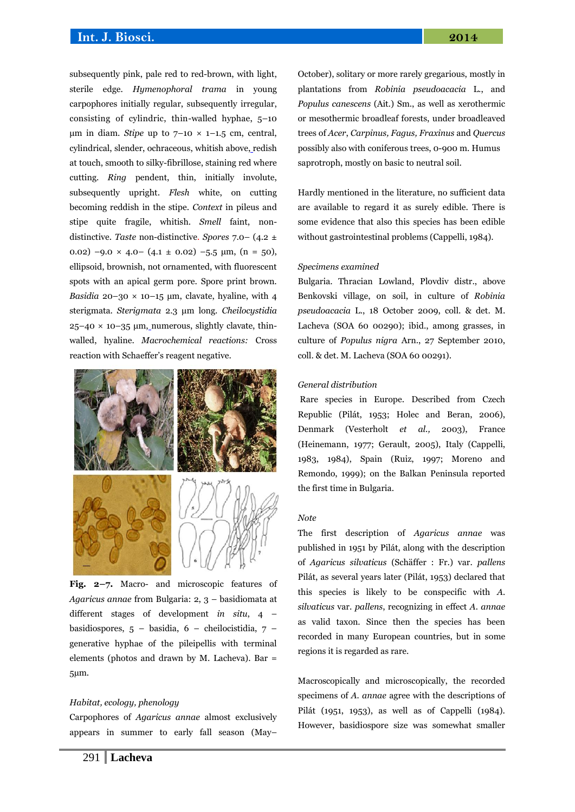## **Int. J. Biosci. 2014**

subsequently pink, pale red to red-brown, with light, sterile edge. *Hymenophoral trama* in young carpophores initially regular, subsequently irregular, consisting of cylindric, thin-walled hyphae, 5–10 μm in diam. *Stipe* up to  $7-10 \times 1-1.5$  cm, central, cylindrical, slender, ochraceous, whitish above, redish at touch, smooth to silky-fibrillose, staining red where cutting. *Ring* pendent, thin, initially involute, subsequently upright. *Flesh* white, on cutting becoming reddish in the stipe. *Context* in pileus and stipe quite fragile, whitish. *Smell* faint, nondistinctive. *Taste* non-distinctive. *Spores* 7.0– (4.2 ± 0.02)  $-9.0 \times 4.0 - (4.1 \pm 0.02) -5.5 \mu m$ ,  $(n = 50)$ , ellipsoid, brownish, not ornamented, with fluorescent spots with an apical germ pore. Spore print brown. *Basidia* 20–30  $\times$  10–15  $\mu$ m, clavate, hyaline, with 4 sterigmata. *Sterigmata* 2.3 μm long. *Cheilocystidia*  $25-40 \times 10-35 \mu m$ , numerous, slightly clavate, thinwalled, hyaline. *Macrochemical reactions:* Cross reaction with Schaeffer's reagent negative.



**Fig. 2–7.** Macro- and microscopic features of *Agaricus annae* from Bulgaria: 2, 3 – basidiomata at different stages of development *in situ*, 4 – basidiospores, 5 – basidia, 6 – cheilocistidia, 7 – generative hyphae of the pileipellis with terminal elements (photos and drawn by M. Lacheva). Bar = 5µm.

#### *Habitat, ecology, phenology*

Carpophores of *Agaricus annae* almost exclusively appears in summer to early fall season (May– October), solitary or more rarely gregarious, mostly in plantations from *Robinia pseudoacacia* L., and *Populus canescens* (Ait.) Sm., as well as xerothermic or mesothermic broadleaf forests, under broadleaved trees of *Acer*, *Carpinus, Fagus, Fraxinus* and *Quercus* possibly also with coniferous trees, 0-900 m. Humus saprotroph, mostly on basic to neutral soil.

Hardly mentioned in the literature, no sufficient data are available to regard it as surely edible. There is some evidence that also this species has been edible without gastrointestinal problems (Cappelli, 1984).

#### *Specimens examined*

Bulgaria. Thracian Lowland, Plovdiv distr., above Benkovski village, on soil, in culture of *Robinia pseudoacacia* L., 18 October 2009, coll. & det. M. Lacheva (SOA 60 00290); ibid., among grasses, in culture of *Populus nigra* Arn., 27 September 2010, coll. & det. M. Lacheva (SOA 60 00291).

## *General distribution*

Rare species in Europe. Described from Czech Republic (Pilát, 1953; Holec and Beran, 2006), Denmark (Vesterholt *et al.,* 2003), France (Heinemann, 1977; Gerault, 2005), Italy (Cappelli, 1983, 1984), Spain (Ruiz, 1997; Moreno and Remondo, 1999); on the Balkan Peninsula reported the first time in Bulgaria.

#### *Note*

The first description of *Agaricus annae* was published in 1951 by Pilát, along with the description of *Agaricus silvaticus* (Schäffer : Fr.) var. *pallens*  Pilát, as several years later (Pilát, 1953) declared that this species is likely to be conspecific with *A. silvaticus* var. *pallens*, recognizing in effect *A. annae* as valid taxon. Since then the species has been recorded in many European countries, but in some regions it is regarded as rare.

Macroscopically and microscopically, the recorded specimens of *A. annae* agree with the descriptions of Pilát (1951, 1953), as well as of Cappelli (1984). However, basidiospore size was somewhat smaller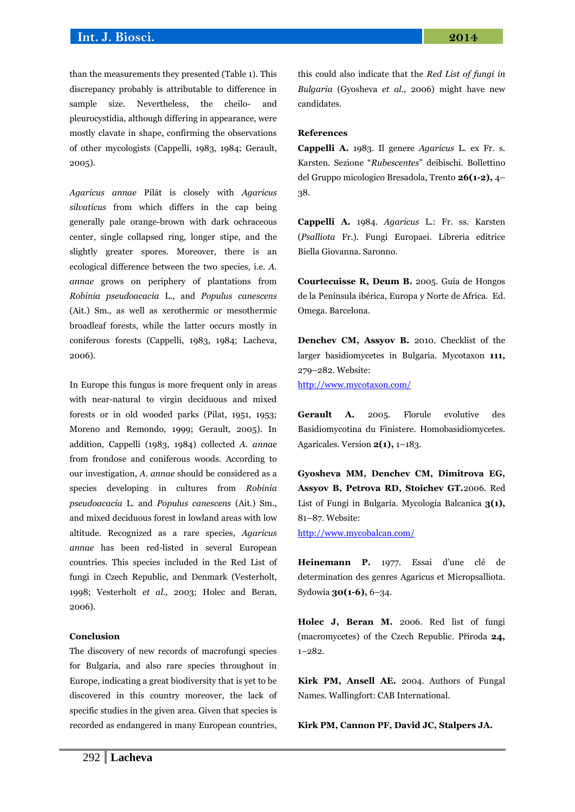than the measurements they presented (Table 1). This discrepancy probably is attributable to difference in sample size. Nevertheless, the cheilo- and pleurocystidia, although differing in appearance, were mostly clavate in shape, confirming the observations of other mycologists (Cappelli, 1983, 1984; Gerault, 2005).

*Agaricus annae* Pilát is closely with *Agaricus silvaticus* from which differs in the cap being generally pale orange-brown with dark ochraceous center, single collapsed ring, longer stipe, and the slightly greater spores. Moreover, there is an ecological difference between the two species, i.e. *A. annae* grows on periphery of plantations from *Robinia pseudoacacia* L., and *Populus canescens*  (Ait.) Sm., as well as xerothermic or mesothermic broadleaf forests, while the latter occurs mostly in coniferous forests (Cappelli, 1983, 1984; Lacheva, 2006).

In Europe this fungus is more frequent only in areas with near-natural to virgin deciduous and mixed forests or in old wooded parks (Pilat, 1951, 1953; Moreno and Remondo, 1999; Gerault, 2005). In addition, Cappelli (1983, 1984) collected *A. annae*  from frondose and coniferous woods. According to our investigation, *A. annae* should be considered as a species developing in cultures from *Robinia pseudoacacia* L. and *Populus canescens* (Ait.) Sm., and mixed deciduous forest in lowland areas with low altitude. Recognized as a rare species, *Agaricus annae* has been red-listed in several European countries. This species included in the Red List of fungi in Czech Republic, and Denmark (Vesterholt, 1998; Vesterholt *et al.,* 2003; Holec and Beran, 2006).

### **Conclusion**

The discovery of new records of macrofungi species for Bulgaria, and also rare species throughout in Europe, indicating a great biodiversity that is yet to be discovered in this country moreover, the lack of specific studies in the given area. Given that species is recorded as endangered in many European countries, this could also indicate that the *Red List of fungi in Bulgaria* (Gyosheva *et al.,* 2006) might have new candidates.

## **References**

**Cappelli A.** 1983. Il genere *Agaricus* L. ex Fr. s. Karsten. Sezione "*Rubescentes*" deibischi. Bollettino del Gruppo micologico Bresadola, Trento **26(1-2),** 4– 38.

**Cappelli A.** 1984. *Agaricus* L.: Fr. ss. Karsten (*Psalliota* Fr.). Fungi Europaei. Libreria editrice Biella Giovanna. Saronno.

**Courtecuisse R, Deum B.** 2005. Guía de Hongos de la Península ibérica, Europa y Norte de Africa. Ed. Omega. Barcelona.

**Denchev CM, Assyov B.** 2010. Checklist of the larger basidiomycetes in Bulgaria. Mycotaxon **111,** 279–282. Website: <http://www.mycotaxon.com/>

**Gerault A.** 2005. Florule evolutive des Basidiomycotina du Finistere. Homobasidiomycetes. Agaricales. Version **2(1),** 1–183.

**Gyosheva MM, Denchev CM, Dimitrova EG, Assyov B, Petrova RD, Stoichev GT.**2006. Red List of Fungi in Bulgaria. Mycologia Balcanica **3(1),** 81–87. Website:

<http://www.mycobalcan.com/>

**Heinemann P.** 1977. Essai d'une clé de determination des genres Agaricus et Micropsalliota. Sydowia **30(1-6),** 6–34.

**Holec J, Beran M.** 2006. Red list of fungi (macromycetes) of the Czech Republic. Příroda **24,** 1–282.

**Kirk PM, Ansell AE.** 2004. Authors of Fungal Names. Wallingfort: CAB International.

**Kirk PM, Cannon PF, David JC, Stalpers JA.**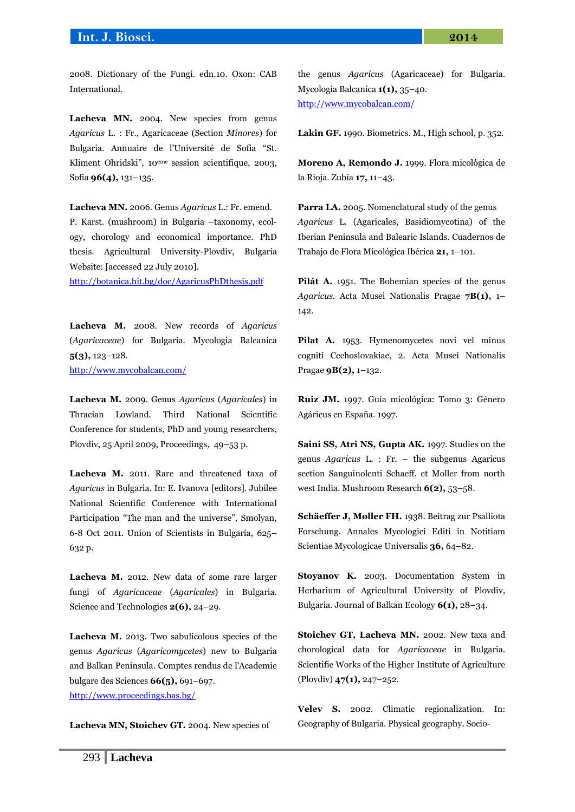2008. Dictionary of the Fungi. edn.10. Oxon: CAB International.

Lacheva MN. 2004. New species from genus *Agaricus* L. : Fr., Agaricaceae (Section *Minores*) for Bulgaria. Annuaire de l'Université de Sofia "St. Kliment Ohridski", 10eme session scientifique, 2003, Sofia **96(4),** 131–135.

**Lacheva MN.** 2006. Genus *Agaricus* L.: Fr. emend. P. Karst. (mushroom) in Bulgaria –taxonomy, ecology, chorology and economical importance. PhD thesis. Agricultural University-Plovdiv, Bulgaria Website: [accessed 22 July 2010].

<http://botanica.hit.bg/doc/AgaricusPhDthesis.pdf>

**Lacheva M.** 2008. New records of *Agaricus*  (*Agaricaceae*) for Bulgaria. Mycologia Balcanica **5(3),** 123–128. <http://www.mycobalcan.com/>

**Lacheva M.** 2009. Genus *Agaricus* (*Agaricales*) in Thracian Lowland. Third National Scientific Conference for students, PhD and young researchers, Plovdiv, 25 April 2009, Proceedings, 49–53 p.

**Lacheva M.** 2011. Rare and threatened taxa of *Agaricus* in Bulgaria. In: E. Ivanova [editors]. Jubilee National Scientific Conference with International Participation "The man and the universe", Smolyan, 6-8 Oct 2011. Union of Scientists in Bulgaria, 625– 632 p.

**Lacheva M.** 2012. New data of some rare larger fungi of *Agaricaceae* (*Agaricales*) in Bulgaria. Science and Technologies **2(6),** 24–29.

**Lacheva M.** 2013. Two sabulicolous species of the genus *Agaricus* (*Agaricomycetes*) new to Bulgaria and Balkan Peninsula. Comptes rendus de l'Academie bulgare des Sciences **66(5),** 691–697. <http://www.proceedings.bas.bg/>

**Lacheva MN, Stoichev GT.** 2004. New species of

the genus *Agaricus* (Agaricaceae) for Bulgaria. Mycologia Balcanica **1(1),** 35–40. <http://www.mycobalcan.com/>

**Lakin GF.** 1990. Biometrics. М., High school, p. 352.

**Moreno A, Remondo J.** 1999. Flora micolόgica de la Rioja. Zubía **17,** 11–43.

**Parra LA.** 2005. Nomenclatural study of the genus *Agaricus* L. (Agaricales, Basidiomycotina) of the Iberian Peninsula and Balearic Islands. Cuadernos de Trabajo de Flora Micolόgica Ibérica **21,** 1–101.

Pilát A. 1951. The Bohemian species of the genus *Agaricus*. Acta Musei Nationalis Pragae **7B(1),** 1– 142.

Pilat A. 1953. Hymenomycetes novi vel minus cogniti Cechoslovakiae, 2. Acta Musei Nationalis Pragae **9B(2),** 1–132.

**Ruiz JM.** 1997. Guía micológica: Tomo 3: Género Agáricus en España. 1997.

**Saini SS, Atri NS, Gupta AK.** 1997. Studies on the genus *Agaricus* L. : Fr. – the subgenus Agaricus section Sanguinolenti Schaeff. et Moller from north west India. Mushroom Research **6(2),** 53*–*58.

**Schäeffer J, Møller FH.** 1938. Beitrag zur Psalliota Forschung. Annales Mycologici Editi in Notitiam Scientiae Mycologicae Universalis **36,** 64–82.

**Stoyanov K.** 2003. Documentation System in Herbarium of Agricultural University of Plovdiv, Bulgaria. Journal of Balkan Ecology **6(1),** 28–34.

**Stoichev GT, Lacheva MN.** 2002. New taxa and chorological data for *Agaricaceae* in Bulgaria. Scientific Works of the Higher Institute of Agriculture (Plovdiv) **47(1),** 247–252.

**Velev S.** 2002. Climatic regionalization. In: Geography of Bulgaria. Physical geography. Socio-